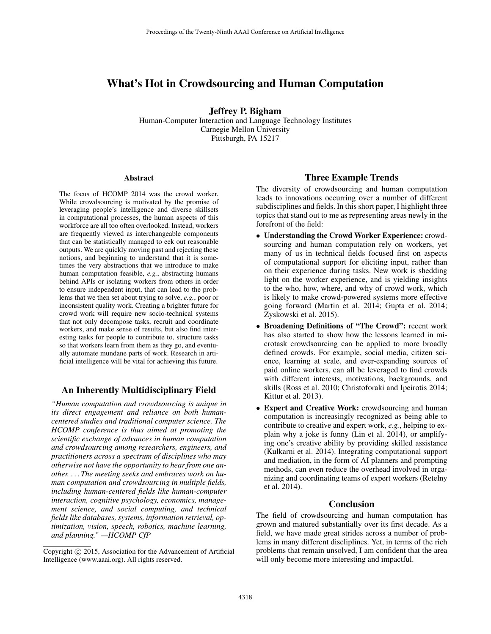# What's Hot in Crowdsourcing and Human Computation

Jeffrey P. Bigham Human-Computer Interaction and Language Technology Institutes Carnegie Mellon University

Pittsburgh, PA 15217

#### Abstract

The focus of HCOMP 2014 was the crowd worker. While crowdsourcing is motivated by the promise of leveraging people's intelligence and diverse skillsets in computational processes, the human aspects of this workforce are all too often overlooked. Instead, workers are frequently viewed as interchangeable components that can be statistically managed to eek out reasonable outputs. We are quickly moving past and rejecting these notions, and beginning to understand that it is sometimes the very abstractions that we introduce to make human computation feasible, *e.g.*, abstracting humans behind APIs or isolating workers from others in order to ensure independent input, that can lead to the problems that we then set about trying to solve, *e.g.*, poor or inconsistent quality work. Creating a brighter future for crowd work will require new socio-technical systems that not only decompose tasks, recruit and coordinate workers, and make sense of results, but also find interesting tasks for people to contribute to, structure tasks so that workers learn from them as they go, and eventually automate mundane parts of work. Research in artificial intelligence will be vital for achieving this future.

### An Inherently Multidisciplinary Field

*"Human computation and crowdsourcing is unique in its direct engagement and reliance on both humancentered studies and traditional computer science. The HCOMP conference is thus aimed at promoting the scientific exchange of advances in human computation and crowdsourcing among researchers, engineers, and practitioners across a spectrum of disciplines who may otherwise not have the opportunity to hear from one another. . . . The meeting seeks and embraces work on human computation and crowdsourcing in multiple fields, including human-centered fields like human-computer interaction, cognitive psychology, economics, management science, and social computing, and technical fields like databases, systems, information retrieval, optimization, vision, speech, robotics, machine learning, and planning." —HCOMP CfP*

#### Three Example Trends

The diversity of crowdsourcing and human computation leads to innovations occurring over a number of different subdisciplines and fields. In this short paper, I highlight three topics that stand out to me as representing areas newly in the forefront of the field:

- Understanding the Crowd Worker Experience: crowdsourcing and human computation rely on workers, yet many of us in technical fields focused first on aspects of computational support for eliciting input, rather than on their experience during tasks. New work is shedding light on the worker experience, and is yielding insights to the who, how, where, and why of crowd work, which is likely to make crowd-powered systems more effective going forward (Martin et al. 2014; Gupta et al. 2014; Zyskowski et al. 2015).
- Broadening Definitions of "The Crowd": recent work has also started to show how the lessons learned in microtask crowdsourcing can be applied to more broadly defined crowds. For example, social media, citizen science, learning at scale, and ever-expanding sources of paid online workers, can all be leveraged to find crowds with different interests, motivations, backgrounds, and skills (Ross et al. 2010; Christoforaki and Ipeirotis 2014; Kittur et al. 2013).
- Expert and Creative Work: crowdsourcing and human computation is increasingly recognized as being able to contribute to creative and expert work, *e.g.*, helping to explain why a joke is funny (Lin et al. 2014), or amplifying one's creative ability by providing skilled assistance (Kulkarni et al. 2014). Integrating computational support and mediation, in the form of AI planners and prompting methods, can even reduce the overhead involved in organizing and coordinating teams of expert workers (Retelny et al. 2014).

#### Conclusion

The field of crowdsourcing and human computation has grown and matured substantially over its first decade. As a field, we have made great strides across a number of problems in many different discliplines. Yet, in terms of the rich problems that remain unsolved, I am confident that the area will only become more interesting and impactful.

Copyright (c) 2015, Association for the Advancement of Artificial Intelligence (www.aaai.org). All rights reserved.